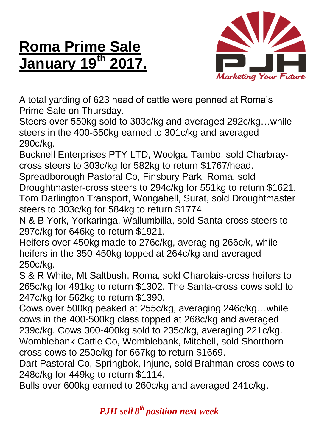## **Roma Prime Sale January 19th**



A total yarding of 623 head of cattle were penned at Roma's Prime Sale on Thursday.

Steers over 550kg sold to 303c/kg and averaged 292c/kg…while steers in the 400-550kg earned to 301c/kg and averaged 290c/kg.

Bucknell Enterprises PTY LTD, Woolga, Tambo, sold Charbraycross steers to 303c/kg for 582kg to return \$1767/head.

Spreadborough Pastoral Co, Finsbury Park, Roma, sold Droughtmaster-cross steers to 294c/kg for 551kg to return \$1621. Tom Darlington Transport, Wongabell, Surat, sold Droughtmaster steers to 303c/kg for 584kg to return \$1774.

N & B York, Yorkaringa, Wallumbilla, sold Santa-cross steers to 297c/kg for 646kg to return \$1921.

Heifers over 450kg made to 276c/kg, averaging 266c/k, while heifers in the 350-450kg topped at 264c/kg and averaged 250c/kg.

S & R White, Mt Saltbush, Roma, sold Charolais-cross heifers to 265c/kg for 491kg to return \$1302. The Santa-cross cows sold to 247c/kg for 562kg to return \$1390.

Cows over 500kg peaked at 255c/kg, averaging 246c/kg…while cows in the 400-500kg class topped at 268c/kg and averaged 239c/kg. Cows 300-400kg sold to 235c/kg, averaging 221c/kg. Womblebank Cattle Co, Womblebank, Mitchell, sold Shorthorncross cows to 250c/kg for 667kg to return \$1669.

Dart Pastoral Co, Springbok, Injune, sold Brahman-cross cows to 248c/kg for 449kg to return \$1114.

Bulls over 600kg earned to 260c/kg and averaged 241c/kg.